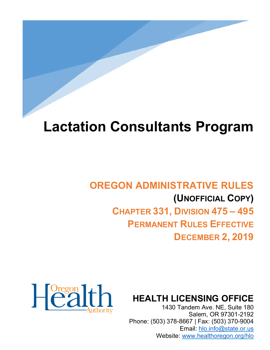# **Lactation Consultants Program**

## **OREGON ADMINISTRATIVE RULES (UNOFFICIAL COPY) CHAPTER 331, DIVISION 475 – 495 PERMANENT RULES EFFECTIVE DECEMBER 2, 2019**

### **HEALTH LICENSING OFFICE**

1430 Tandem Ave. NE, Suite 180 Salem, OR 97301-2192 Phone: (503) 378-8667 | Fax: (503) 370-9004 Email: [hlo.info@state.or.us](mailto:hlo.info@stae.or.us) Website: [www.healthoregon.org/hlo](http://www.healthoregon.org/hlo)

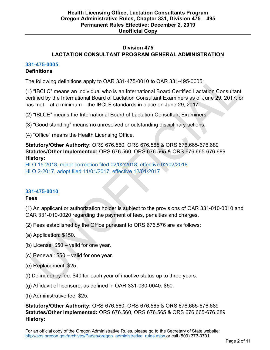#### **Division 475 LACTATION CONSULTANT PROGRAM GENERAL ADMINISTRATION**

#### **[331-475-0005](https://secure.sos.state.or.us/oard/viewSingleRule.action?ruleVrsnRsn=241840)**

#### **Definitions**

The following definitions apply to OAR 331-475-0010 to OAR 331-495-0005:

(1) "IBCLC" means an individual who is an International Board Certified Lactation Consultant certified by the International Board of Lactation Consultant Examiners as of June 29, 2017, or has met – at a minimum – the IBCLE standards in place on June 29, 2017.

(2) "IBLCE" means the International Board of Lactation Consultant Examiners.

(3) "Good standing" means no unresolved or outstanding disciplinary actions.

(4) "Office" means the Health Licensing Office.

**Statutory/Other Authority:** ORS 676.560, ORS 676.565 & ORS 676.665-676.689 **Statutes/Other Implemented:** ORS 676.560, ORS 676.565 & ORS 676.665-676.689 **History:**

[HLO 15-2018, minor correction filed 02/02/2018, effective 02/02/2018](https://secure.sos.state.or.us/oard/viewReceiptTRIM.action?ptId=6843974) [HLO 2-2017, adopt filed 11/01/2017, effective 12/01/2017](https://secure.sos.state.or.us/oard/viewReceiptTRIM.action?ptId=6842774)

#### **[331-475-0010](https://secure.sos.state.or.us/oard/viewSingleRule.action?ruleVrsnRsn=241841)**

#### **Fees**

(1) An applicant or authorization holder is subject to the provisions of OAR 331-010-0010 and OAR 331-010-0020 regarding the payment of fees, penalties and charges.

(2) Fees established by the Office pursuant to ORS 676.576 are as follows:

- (a) Application: \$150.
- (b) License: \$50 valid for one year.
- (c) Renewal: \$50 valid for one year.
- (e) Replacement: \$25.
- (f) Delinquency fee: \$40 for each year of inactive status up to three years.
- (g) Affidavit of licensure, as defined in OAR 331-030-0040: \$50.
- (h) Administrative fee: \$25.

**Statutory/Other Authority:** ORS 676.560, ORS 676.565 & ORS 676.665-676.689 **Statutes/Other Implemented:** ORS 676.560, ORS 676.565 & ORS 676.665-676.689 **History:**

For an official copy of the Oregon Administrative Rules, please go to the Secretary of State website: [http://sos.oregon.gov/archives/Pages/oregon\\_administrative\\_rules.aspx](http://sos.oregon.gov/archives/Pages/oregon_administrative_rules.aspx) or call (503) 373-0701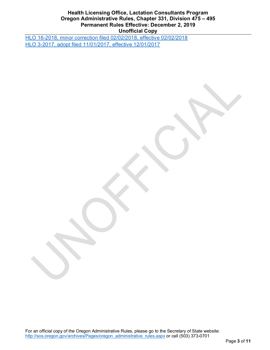#### **Health Licensing Office, Lactation Consultants Program Oregon Administrative Rules, Chapter 331, Division 475 – 495 Permanent Rules Effective: December 2, 2019 Unofficial Copy**

[HLO 16-2018, minor correction filed 02/02/2018, effective 02/02/2018](https://secure.sos.state.or.us/oard/viewReceiptTRIM.action?ptId=6843975) [HLO 3-2017, adopt filed 11/01/2017, effective 12/01/2017](https://secure.sos.state.or.us/oard/viewReceiptTRIM.action?ptId=6842775)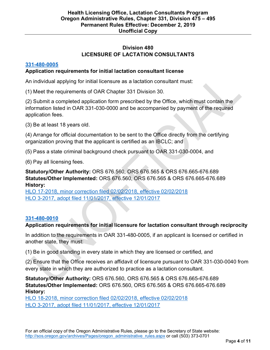#### **Division 480 LICENSURE OF LACTATION CONSULTANTS**

#### **[331-480-0005](https://secure.sos.state.or.us/oard/viewSingleRule.action?ruleVrsnRsn=241842)**

#### **Application requirements for initial lactation consultant license**

An individual applying for initial licensure as a lactation consultant must:

(1) Meet the requirements of OAR Chapter 331 Division 30.

(2) Submit a completed application form prescribed by the Office, which must contain the information listed in OAR 331-030-0000 and be accompanied by payment of the required application fees.

(3) Be at least 18 years old.

(4) Arrange for official documentation to be sent to the Office directly from the certifying organization proving that the applicant is certified as an IBCLC; and

(5) Pass a state criminal background check pursuant to OAR 331-030-0004, and

(6) Pay all licensing fees.

**Statutory/Other Authority:** ORS 676.560, ORS 676.565 & ORS 676.665-676.689 **Statutes/Other Implemented:** ORS 676.560, ORS 676.565 & ORS 676.665-676.689 **History:**

[HLO 17-2018, minor correction filed 02/02/2018, effective 02/02/2018](https://secure.sos.state.or.us/oard/viewReceiptTRIM.action?ptId=6843976) [HLO 3-2017, adopt filed 11/01/2017, effective 12/01/2017](https://secure.sos.state.or.us/oard/viewReceiptTRIM.action?ptId=6842775)

#### **[331-480-0010](https://secure.sos.state.or.us/oard/viewSingleRule.action?ruleVrsnRsn=241843)**

#### **Application requirements for initial licensure for lactation consultant through reciprocity**

In addition to the requirements in OAR 331-480-0005, if an applicant is licensed or certified in another state, they must:

(1) Be in good standing in every state in which they are licensed or certified, and

(2) Ensure that the Office receives an affidavit of licensure pursuant to OAR 331-030-0040 from every state in which they are authorized to practice as a lactation consultant.

**Statutory/Other Authority:** ORS 676.560, ORS 676.565 & ORS 676.665-676.689 **Statutes/Other Implemented:** ORS 676.560, ORS 676.565 & ORS 676.665-676.689 **History:**

[HLO 18-2018, minor correction filed 02/02/2018, effective 02/02/2018](https://secure.sos.state.or.us/oard/viewReceiptTRIM.action?ptId=6843977) [HLO 3-2017, adopt filed 11/01/2017, effective 12/01/2017](https://secure.sos.state.or.us/oard/viewReceiptTRIM.action?ptId=6842775)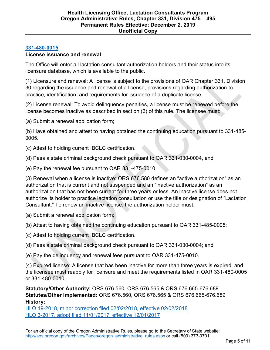#### **[331-480-0015](https://secure.sos.state.or.us/oard/viewSingleRule.action?ruleVrsnRsn=241844)**

#### **License issuance and renewal**

The Office will enter all lactation consultant authorization holders and their status into its licensure database, which is available to the public.

(1) Licensure and renewal: A license is subject to the provisions of OAR Chapter 331, Division 30 regarding the issuance and renewal of a license, provisions regarding authorization to practice, identification, and requirements for issuance of a duplicate license.

(2) License renewal: To avoid delinquency penalties, a license must be renewed before the license becomes inactive as described in section (3) of this rule. The licensee must:

(a) Submit a renewal application form;

(b) Have obtained and attest to having obtained the continuing education pursuant to 331-485- 0005.

(c) Attest to holding current IBCLC certification.

(d) Pass a state criminal background check pursuant to OAR 331-030-0004, and

(e) Pay the renewal fee pursuant to OAR 331-475-0010.

(3) Renewal when a license is inactive: ORS 676.580 defines an "active authorization" as an authorization that is current and not suspended and an "inactive authorization" as an authorization that has not been current for three years or less. An inactive license does not authorize its holder to practice lactation consultation or use the title or designation of "Lactation Consultant." To renew an inactive license, the authorization holder must:

(a) Submit a renewal application form;

(b) Attest to having obtained the continuing education pursuant to OAR 331-485-0005;

(c) Attest to holding current IBCLC certification.

(d) Pass a state criminal background check pursuant to OAR 331-030-0004; and

(e) Pay the delinquency and renewal fees pursuant to OAR 331-475-0010.

(4) Expired license: A license that has been inactive for more than three years is expired, and the licensee must reapply for licensure and meet the requirements listed in OAR 331-480-0005 or 331-480-0010.

**Statutory/Other Authority:** ORS 676.560, ORS 676.565 & ORS 676.665-676.689 **Statutes/Other Implemented:** ORS 676.560, ORS 676.565 & ORS 676.665-676.689 **History:**

[HLO 19-2018, minor correction filed 02/02/2018, effective 02/02/2018](https://secure.sos.state.or.us/oard/viewReceiptTRIM.action?ptId=6843978) [HLO 3-2017, adopt filed 11/01/2017, effective 12/01/2017](https://secure.sos.state.or.us/oard/viewReceiptTRIM.action?ptId=6842775)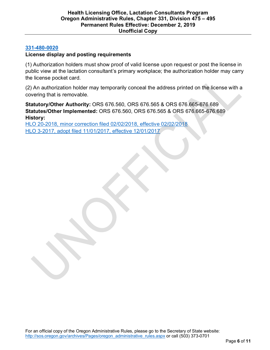#### **[331-480-0020](https://secure.sos.state.or.us/oard/viewSingleRule.action?ruleVrsnRsn=241845)**

#### **License display and posting requirements**

(1) Authorization holders must show proof of valid license upon request or post the license in public view at the lactation consultant's primary workplace; the authorization holder may carry the license pocket card.

(2) An authorization holder may temporarily conceal the address printed on the license with a covering that is removable.

**Statutory/Other Authority:** ORS 676.560, ORS 676.565 & ORS 676.665-676.689 **Statutes/Other Implemented:** ORS 676.560, ORS 676.565 & ORS 676.665-676.689 **History:**

[HLO 20-2018, minor correction filed 02/02/2018, effective 02/02/2018](https://secure.sos.state.or.us/oard/viewReceiptTRIM.action?ptId=6843979) [HLO 3-2017, adopt filed 11/01/2017, effective 12/01/2017](https://secure.sos.state.or.us/oard/viewReceiptTRIM.action?ptId=6842775)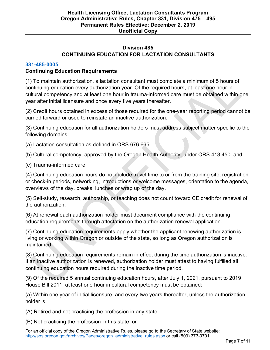#### **Division 485 CONTINUING EDUCATION FOR LACTATION CONSULTANTS**

#### **[331-485-0005](https://secure.sos.state.or.us/oard/viewSingleRule.action?ruleVrsnRsn=264523)**

#### **Continuing Education Requirements**

(1) To maintain authorization, a lactation consultant must complete a minimum of 5 hours of continuing education every authorization year. Of the required hours, at least one hour in cultural competency and at least one hour in trauma-informed care must be obtained within one year after initial licensure and once every five years thereafter.

(2) Credit hours obtained in excess of those required for the one-year reporting period cannot be carried forward or used to reinstate an inactive authorization.

(3) Continuing education for all authorization holders must address subject matter specific to the following domains:

(a) Lactation consultation as defined in ORS 676.665;

(b) Cultural competency, approved by the Oregon Health Authority, under ORS 413.450, and

(c) Trauma-informed care.

(4) Continuing education hours do not include travel time to or from the training site, registration or check-in periods, networking, introductions or welcome messages, orientation to the agenda, overviews of the day, breaks, lunches or wrap up of the day.

(5) Self-study, research, authorship, or teaching does not count toward CE credit for renewal of the authorization.

(6) At renewal each authorization holder must document compliance with the continuing education requirements through attestation on the authorization renewal application.

(7) Continuing education requirements apply whether the applicant renewing authorization is living or working within Oregon or outside of the state, so long as Oregon authorization is maintained.

(8) Continuing education requirements remain in effect during the time authorization is inactive. If an inactive authorization is renewed, authorization holder must attest to having fulfilled all continuing education hours required during the inactive time period.

(9) Of the required 5 annual continuing education hours, after July 1, 2021, pursuant to 2019 House Bill 2011, at least one hour in cultural competency must be obtained:

(a) Within one year of initial licensure, and every two years thereafter, unless the authorization holder is:

(A) Retired and not practicing the profession in any state;

(B) Not practicing the profession in this state; or

For an official copy of the Oregon Administrative Rules, please go to the Secretary of State website: [http://sos.oregon.gov/archives/Pages/oregon\\_administrative\\_rules.aspx](http://sos.oregon.gov/archives/Pages/oregon_administrative_rules.aspx) or call (503) 373-0701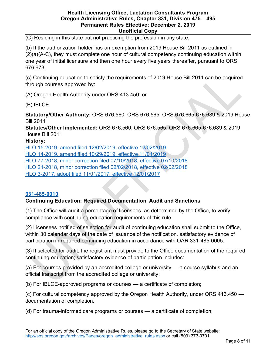#### **Health Licensing Office, Lactation Consultants Program Oregon Administrative Rules, Chapter 331, Division 475 – 495 Permanent Rules Effective: December 2, 2019 Unofficial Copy**

(C) Residing in this state but not practicing the profession in any state.

(b) If the authorization holder has an exemption from 2019 House Bill 2011 as outlined in  $(2)(a)(A-C)$ , they must complete one hour of cultural competency continuing education within one year of initial licensure and then one hour every five years thereafter, pursuant to ORS 676.673.

(c) Continuing education to satisfy the requirements of 2019 House Bill 2011 can be acquired through courses approved by:

(A) Oregon Health Authority under ORS 413.450; or

(B) IBLCE.

**Statutory/Other Authority:** ORS 676.560, ORS 676.565, ORS 676.665-676.689 & 2019 House Bill 2011

**Statutes/Other Implemented:** ORS 676.560, ORS 676.565, ORS 676.665-676.689 & 2019 House Bill 2011

#### **History:**

[HLO 15-2019, amend filed 12/02/2019, effective 12/02/2019](https://secure.sos.state.or.us/oard/viewReceiptTRIM.action?ptId=7102713)

[HLO 14-2019, amend filed 10/29/2019, effective 11/01/2019](https://secure.sos.state.or.us/oard/viewReceiptPDF.action?filingRsn=42681)

[HLO 77-2018, minor correction filed 07/10/2018, effective 07/10/2018](https://secure.sos.state.or.us/oard/viewReceiptTRIM.action?ptId=6845573)

[HLO 21-2018, minor correction filed 02/02/2018, effective 02/02/2018](https://secure.sos.state.or.us/oard/viewReceiptTRIM.action?ptId=6843980)

[HLO 3-2017, adopt filed 11/01/2017, effective 12/01/2017](https://secure.sos.state.or.us/oard/viewReceiptTRIM.action?ptId=6842775)

#### **[331-485-0010](https://secure.sos.state.or.us/oard/viewSingleRule.action?ruleVrsnRsn=263551)**

#### **Continuing Education: Required Documentation, Audit and Sanctions**

(1) The Office will audit a percentage of licensees, as determined by the Office, to verify compliance with continuing education requirements of this rule.

(2) Licensees notified of selection for audit of continuing education shall submit to the Office, within 30 calendar days of the date of issuance of the notification, satisfactory evidence of participation in required continuing education in accordance with OAR 331-485-0005.

(3) If selected for audit, the registrant must provide to the Office documentation of the required continuing education; satisfactory evidence of participation includes:

(a) For courses provided by an accredited college or university — a course syllabus and an official transcript from the accredited college or university;

(b) For IBLCE-approved programs or courses — a certificate of completion;

(c) For cultural competency approved by the Oregon Health Authority, under ORS 413.450 documentation of completion.

(d) For trauma-informed care programs or courses — a certificate of completion;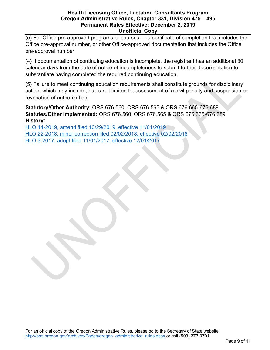#### **Health Licensing Office, Lactation Consultants Program Oregon Administrative Rules, Chapter 331, Division 475 – 495 Permanent Rules Effective: December 2, 2019 Unofficial Copy**

(e) For Office pre-approved programs or courses — a certificate of completion that includes the Office pre-approval number, or other Office-approved documentation that includes the Office pre-approval number.

(4) If documentation of continuing education is incomplete, the registrant has an additional 30 calendar days from the date of notice of incompleteness to submit further documentation to substantiate having completed the required continuing education.

(5) Failure to meet continuing education requirements shall constitute grounds for disciplinary action, which may include, but is not limited to, assessment of a civil penalty and suspension or revocation of authorization.

**Statutory/Other Authority:** ORS 676.560, ORS 676.565 & ORS 676.665-676.689 **Statutes/Other Implemented:** ORS 676.560, ORS 676.565 & ORS 676.665-676.689 **History:**

[HLO 14-2019, amend filed 10/29/2019, effective 11/01/2019](https://secure.sos.state.or.us/oard/viewReceiptPDF.action?filingRsn=42681) [HLO 22-2018, minor correction filed 02/02/2018, effective 02/02/2018](https://secure.sos.state.or.us/oard/viewReceiptTRIM.action?ptId=6843981) [HLO 3-2017, adopt filed 11/01/2017, effective 12/01/2017](https://secure.sos.state.or.us/oard/viewReceiptTRIM.action?ptId=6842775)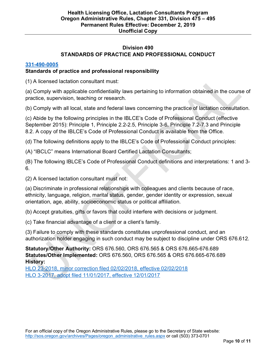#### **Division 490 STANDARDS OF PRACTICE AND PROFESSIONAL CONDUCT**

#### **[331-490-0005](https://secure.sos.state.or.us/oard/viewSingleRule.action?ruleVrsnRsn=241848)**

#### **Standards of practice and professional responsibility**

(1) A licensed lactation consultant must:

(a) Comply with applicable confidentiality laws pertaining to information obtained in the course of practice, supervision, teaching or research.

(b) Comply with all local, state and federal laws concerning the practice of lactation consultation.

(c) Abide by the following principles in the IBLCE's Code of Professional Conduct (effective September 2015): Principle 1, Principle 2.2-2.5, Principle 3-6, Principle 7.2-7.3 and Principle 8.2. A copy of the IBLCE's Code of Professional Conduct is available from the Office.

(d) The following definitions apply to the IBLCE's Code of Professional Conduct principles:

(A) "IBCLC" means International Board Certified Lactation Consultants;

(B) The following IBLCE's Code of Professional Conduct definitions and interpretations: 1 and 3- 6.

(2) A licensed lactation consultant must not:

(a) Discriminate in professional relationships with colleagues and clients because of race, ethnicity, language, religion, marital status, gender, gender identity or expression, sexual orientation, age, ability, socioeconomic status or political affiliation.

(b) Accept gratuities, gifts or favors that could interfere with decisions or judgment.

(c) Take financial advantage of a client or a client's family.

(3) Failure to comply with these standards constitutes unprofessional conduct, and an authorization holder engaging in such conduct may be subject to discipline under ORS 676.612.

**Statutory/Other Authority:** ORS 676.560, ORS 676.565 & ORS 676.665-676.689 **Statutes/Other Implemented:** ORS 676.560, ORS 676.565 & ORS 676.665-676.689 **History:**

[HLO 23-2018, minor correction filed 02/02/2018, effective 02/02/2018](https://secure.sos.state.or.us/oard/viewReceiptTRIM.action?ptId=6843982) [HLO 3-2017, adopt filed 11/01/2017, effective 12/01/2017](https://secure.sos.state.or.us/oard/viewReceiptTRIM.action?ptId=6842775)